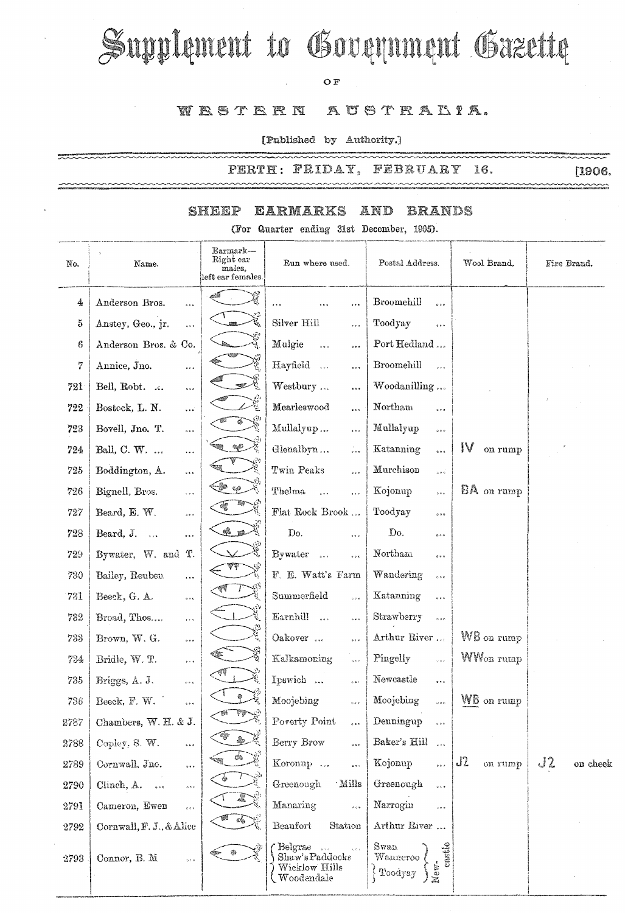# Supplement to Government Gazette

### OF

## WESTERN AUSTRALIA.

[Published by Authority.]

PERTH: FRIDAY, FEBRUARY 16. ~~~~~

ระเบาะหลายคลองเทคนทางเทคนทางเทคนที่ที่เป็นการเทคนที่ที่เป็นการเป็นการเทคนที่สุดในการเทคนที่สุดในการเทคนที่สุดใ<br>สำหรับสำหรับสำหรับสำหรับสำหรับสำหรับสำหรับสำหรับสำหรับสำหรับสำหรับสำหรับสำหรับสำหรับสำหรับสำหรับสำหรับสำหรับส

~~~~

#### EARMARKS AND SHEEP **BRANDS**

(For Quarter ending 31st December, 1995).

| No.  | Name.                                            | Earmark—<br>Right ear<br>males,<br>left ear females. | Run where used.                                                                               | Postal Address.                                  | Wool Brand.           | Fire Brand.    |
|------|--------------------------------------------------|------------------------------------------------------|-----------------------------------------------------------------------------------------------|--------------------------------------------------|-----------------------|----------------|
| 4    | Anderson Bros.<br>$\cdots$                       |                                                      | <br>                                                                                          | Broomehill<br>$\ddot{\phantom{0}}$               |                       |                |
| 5    | Anstey, Geo., jr.<br>$\ddot{\phantom{a}}$        | Q                                                    | Silver Hill<br>                                                                               | Toodyay<br>$\circ\circ\circ$                     |                       |                |
| 6    | Anderson Bros. & Co.                             |                                                      | Mulgie<br>5.5.9<br>                                                                           | Port Hedland                                     |                       |                |
| 7    | Annice, Jno.<br>$\frac{1}{2}$ , $\frac{1}{2}$    |                                                      | Hayfield<br>$\ldots$                                                                          | Broomehill<br>508                                |                       |                |
| 721  | Bell, Robt.<br>$\ldots$                          |                                                      | Westbury<br>$\cdots$                                                                          | Woodanilling                                     |                       |                |
| 722  | Bostock, L. N.<br>$\ddotsc$                      | 德                                                    | Mearleswood<br>$\cdots$                                                                       | Northam<br>$\bar{a}$ is a                        |                       |                |
| 723  | Bovell, Jno. T.<br>5.5.5                         |                                                      | Mullalyup<br>$\frac{1}{2}$                                                                    | Mullalyup<br>$\phi \circ \phi$                   |                       |                |
| 724  | Ball, C. W.<br>$\ddotsc$                         | $\otimes \mathbb{C}$                                 | Glenalbyn<br>$\frac{1}{\sqrt{2}}$                                                             | Katanning<br>$\ddot{\circ}$                      | IV<br>on rump         |                |
| 725  | Boddington, A.<br>$\ddotsc$                      |                                                      | Twin Peaks<br>500                                                                             | Murchison<br>$\frac{1}{2}$ o $\frac{1}{2}$       |                       |                |
| 726  | Bignell, Bros.<br>$\ldots$                       | $\mathcal{C}_\mathrm{q} G$                           | Thelma<br>$\ddot{\phantom{0}}$<br>$\cdots$                                                    | Kojonup<br>100                                   | BA on rump            |                |
| 727  | Beard, E. W.<br>$\bar{a}$ e $\bar{a}$            |                                                      | Flat Rock Brook                                                                               | Toodyay<br>0.9.6                                 |                       |                |
| 728  | Beard, J.<br>                                    | $\bullet$ $\mathbb{R}^n$                             | Do.<br>$\bar{\omega}$ e $\bar{\omega}$                                                        | Do.<br>0.06                                      |                       |                |
| 729  | Bywater, W. and<br>Τ.                            |                                                      | Bywater<br>5.68<br>$\theta$ or $\theta$                                                       | Northam<br>$\phi$ o o                            |                       |                |
| 730  | Bailey, Reuben<br>$\ldots$                       |                                                      | F. E. Watt's Farm                                                                             | Wandering<br>$\alpha$ is $\alpha$                |                       |                |
| 731  | Beeck, G. A.<br>$\sigma \neq \bar{\sigma}$       |                                                      | $\bf Summer field$<br>0.00                                                                    | Katanning                                        |                       |                |
| 732  | Broad, Thos<br>$\delta<\delta$                   |                                                      | Earnhill<br>$\frac{1}{2}$<br>$\alpha$ and                                                     | Strawberry<br>$\sim 2.6$                         |                       |                |
| 733  | Brown, W. G.                                     |                                                      | Oakover<br>0.0.8                                                                              | Arthur River                                     | $W\mathsf{B}$ on rump |                |
| 734  | Bridle, W. T.<br>$\dot{\mathbf{c}}$ is a         |                                                      | Kalkamoning<br>$\frac{1}{2}$ o $\frac{1}{2}$                                                  | Pingelly<br>$\varphi$ o $\bar{\psi}$             | WW <sub>on</sub> rump |                |
| 735  | Briggs, A. J.<br>$\epsilon + \epsilon$           |                                                      | Ipswich<br>601                                                                                | Newcastle<br>$\bar{a}$ a.e.                      |                       |                |
| 736  | Beeck, F. W.<br>e u e                            |                                                      | Moojebing<br>$\bar{b}$ e e                                                                    | Moojebing<br>0.00                                | WB on rump            |                |
| 2787 | Chambers, W. H. & J.                             |                                                      | Poverty Point                                                                                 | $\label{eq:peno} \textbf{Denningup}$             |                       |                |
| 2788 | Copley, S. W.<br>$\mathbf{s}+\mathbf{r}$         | \$.                                                  | Berry Brow<br>500                                                                             | Baker's Hill<br>$\sim 2.6$                       |                       |                |
| 2789 | Cornwall, Jno.<br>$\bar{\sigma}$ as $\sigma$     |                                                      | Koronup<br>$\frac{1}{2}$                                                                      | Kojonup<br>$\frac{1}{2}$                         | J2<br>on rump         | J2<br>on cheek |
| 2790 | Clinch, A.<br>$\alpha$ e e                       |                                                      | Greenough<br>Mills                                                                            | Greenough<br>$\frac{1}{2}$                       |                       |                |
| 2791 | Cameron, Ewen<br>$\hat{\sigma}$ e $\hat{\sigma}$ |                                                      | Manaring<br>$\frac{1}{2}$                                                                     | Narrogin<br>$\frac{1}{2}$ o $\alpha$             |                       |                |
| 2792 | Cornwall, F. J., & Alice                         | eks.                                                 | Beaufort<br>Station                                                                           | Arthur River                                     |                       |                |
| 2793 | Connor, B. M.<br>$\alpha$ : $\alpha$             | ۰                                                    | Belgrae<br>$\sqrt{s}$<br>$\zeta$ is $\zeta$<br>Shaw's Paddocks<br>Wicklow Hills<br>Woodendale | Swan<br>castle<br>$W$ anneroo<br>New-<br>Toodyay |                       |                |

 $[1906]$  $\sim$